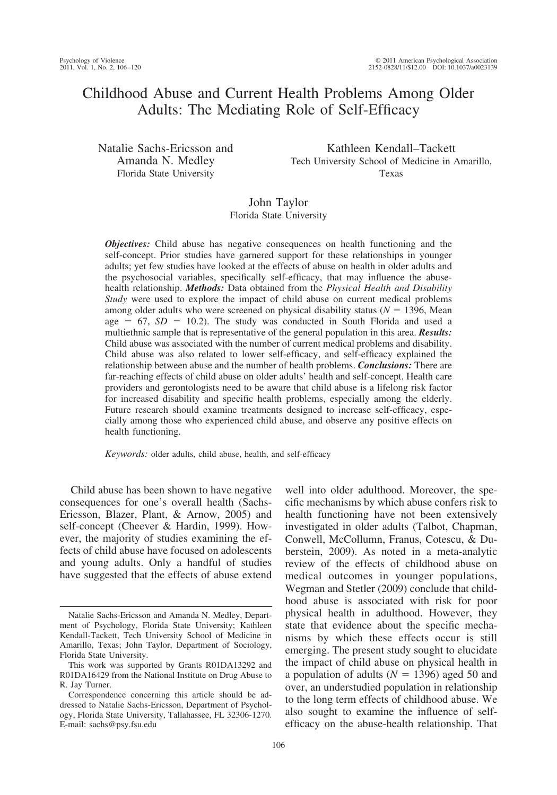# Childhood Abuse and Current Health Problems Among Older Adults: The Mediating Role of Self-Efficacy

Natalie Sachs-Ericsson and Amanda N. Medley Florida State University

Kathleen Kendall–Tackett Tech University School of Medicine in Amarillo, Texas

# John Taylor

## Florida State University

*Objectives:* Child abuse has negative consequences on health functioning and the self-concept. Prior studies have garnered support for these relationships in younger adults; yet few studies have looked at the effects of abuse on health in older adults and the psychosocial variables, specifically self-efficacy, that may influence the abusehealth relationship. *Methods:* Data obtained from the *Physical Health and Disability Study* were used to explore the impact of child abuse on current medical problems among older adults who were screened on physical disability status ( $N = 1396$ , Mean age  $= 67$ ,  $SD = 10.2$ ). The study was conducted in South Florida and used a multiethnic sample that is representative of the general population in this area. *Results:* Child abuse was associated with the number of current medical problems and disability. Child abuse was also related to lower self-efficacy, and self-efficacy explained the relationship between abuse and the number of health problems. *Conclusions:* There are far-reaching effects of child abuse on older adults' health and self-concept. Health care providers and gerontologists need to be aware that child abuse is a lifelong risk factor for increased disability and specific health problems, especially among the elderly. Future research should examine treatments designed to increase self-efficacy, especially among those who experienced child abuse, and observe any positive effects on health functioning.

*Keywords:* older adults, child abuse, health, and self-efficacy

Child abuse has been shown to have negative consequences for one's overall health (Sachs-Ericsson, Blazer, Plant, & Arnow, 2005) and self-concept (Cheever & Hardin, 1999). However, the majority of studies examining the effects of child abuse have focused on adolescents and young adults. Only a handful of studies have suggested that the effects of abuse extend

well into older adulthood. Moreover, the specific mechanisms by which abuse confers risk to health functioning have not been extensively investigated in older adults (Talbot, Chapman, Conwell, McCollumn, Franus, Cotescu, & Duberstein, 2009). As noted in a meta-analytic review of the effects of childhood abuse on medical outcomes in younger populations, Wegman and Stetler (2009) conclude that childhood abuse is associated with risk for poor physical health in adulthood. However, they state that evidence about the specific mechanisms by which these effects occur is still emerging. The present study sought to elucidate the impact of child abuse on physical health in a population of adults  $(N = 1396)$  aged 50 and over, an understudied population in relationship to the long term effects of childhood abuse. We also sought to examine the influence of selfefficacy on the abuse-health relationship. That

Natalie Sachs-Ericsson and Amanda N. Medley, Department of Psychology, Florida State University; Kathleen Kendall-Tackett, Tech University School of Medicine in Amarillo, Texas; John Taylor, Department of Sociology, Florida State University.

This work was supported by Grants R01DA13292 and R01DA16429 from the National Institute on Drug Abuse to R. Jay Turner.

Correspondence concerning this article should be addressed to Natalie Sachs-Ericsson, Department of Psychology, Florida State University, Tallahassee, FL 32306-1270. E-mail: sachs@psy.fsu.edu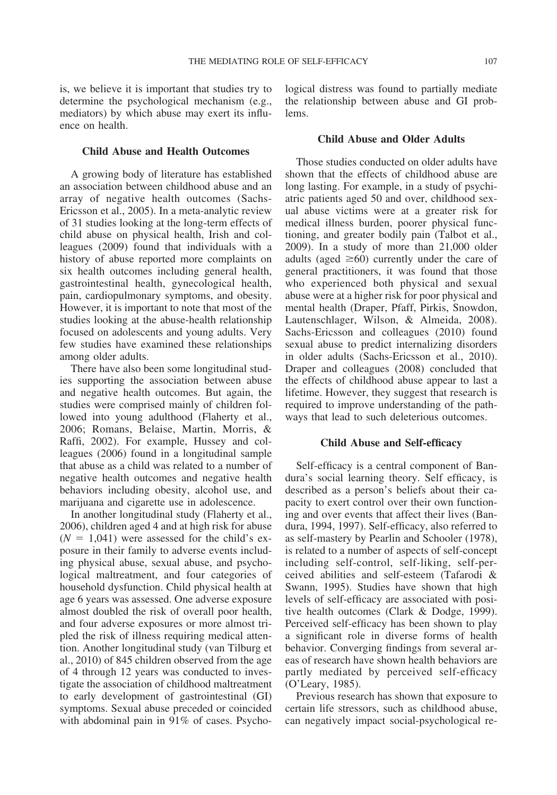is, we believe it is important that studies try to determine the psychological mechanism (e.g., mediators) by which abuse may exert its influence on health.

## **Child Abuse and Health Outcomes**

A growing body of literature has established an association between childhood abuse and an array of negative health outcomes (Sachs-Ericsson et al., 2005). In a meta-analytic review of 31 studies looking at the long-term effects of child abuse on physical health, Irish and colleagues (2009) found that individuals with a history of abuse reported more complaints on six health outcomes including general health, gastrointestinal health, gynecological health, pain, cardiopulmonary symptoms, and obesity. However, it is important to note that most of the studies looking at the abuse-health relationship focused on adolescents and young adults. Very few studies have examined these relationships among older adults.

There have also been some longitudinal studies supporting the association between abuse and negative health outcomes. But again, the studies were comprised mainly of children followed into young adulthood (Flaherty et al., 2006; Romans, Belaise, Martin, Morris, & Raffi, 2002). For example, Hussey and colleagues (2006) found in a longitudinal sample that abuse as a child was related to a number of negative health outcomes and negative health behaviors including obesity, alcohol use, and marijuana and cigarette use in adolescence.

In another longitudinal study (Flaherty et al., 2006), children aged 4 and at high risk for abuse  $(N = 1,041)$  were assessed for the child's exposure in their family to adverse events including physical abuse, sexual abuse, and psychological maltreatment, and four categories of household dysfunction. Child physical health at age 6 years was assessed. One adverse exposure almost doubled the risk of overall poor health, and four adverse exposures or more almost tripled the risk of illness requiring medical attention. Another longitudinal study (van Tilburg et al., 2010) of 845 children observed from the age of 4 through 12 years was conducted to investigate the association of childhood maltreatment to early development of gastrointestinal (GI) symptoms. Sexual abuse preceded or coincided with abdominal pain in 91% of cases. Psychological distress was found to partially mediate the relationship between abuse and GI problems.

#### **Child Abuse and Older Adults**

Those studies conducted on older adults have shown that the effects of childhood abuse are long lasting. For example, in a study of psychiatric patients aged 50 and over, childhood sexual abuse victims were at a greater risk for medical illness burden, poorer physical functioning, and greater bodily pain (Talbot et al., 2009). In a study of more than 21,000 older adults (aged  $\geq 60$ ) currently under the care of general practitioners, it was found that those who experienced both physical and sexual abuse were at a higher risk for poor physical and mental health (Draper, Pfaff, Pirkis, Snowdon, Lautenschlager, Wilson, & Almeida, 2008). Sachs-Ericsson and colleagues (2010) found sexual abuse to predict internalizing disorders in older adults (Sachs-Ericsson et al., 2010). Draper and colleagues (2008) concluded that the effects of childhood abuse appear to last a lifetime. However, they suggest that research is required to improve understanding of the pathways that lead to such deleterious outcomes.

#### **Child Abuse and Self-efficacy**

Self-efficacy is a central component of Bandura's social learning theory. Self efficacy, is described as a person's beliefs about their capacity to exert control over their own functioning and over events that affect their lives (Bandura, 1994, 1997). Self-efficacy, also referred to as self-mastery by Pearlin and Schooler (1978), is related to a number of aspects of self-concept including self-control, self-liking, self-perceived abilities and self-esteem (Tafarodi & Swann, 1995). Studies have shown that high levels of self-efficacy are associated with positive health outcomes (Clark & Dodge, 1999). Perceived self-efficacy has been shown to play a significant role in diverse forms of health behavior. Converging findings from several areas of research have shown health behaviors are partly mediated by perceived self-efficacy (O'Leary, 1985).

Previous research has shown that exposure to certain life stressors, such as childhood abuse, can negatively impact social-psychological re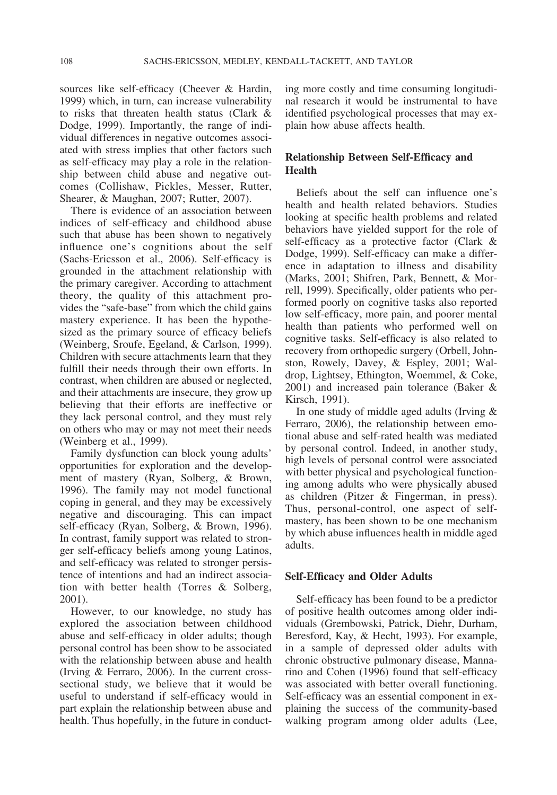sources like self-efficacy (Cheever & Hardin, 1999) which, in turn, can increase vulnerability to risks that threaten health status (Clark & Dodge, 1999). Importantly, the range of individual differences in negative outcomes associated with stress implies that other factors such as self-efficacy may play a role in the relationship between child abuse and negative outcomes (Collishaw, Pickles, Messer, Rutter, Shearer, & Maughan, 2007; Rutter, 2007).

There is evidence of an association between indices of self-efficacy and childhood abuse such that abuse has been shown to negatively influence one's cognitions about the self (Sachs-Ericsson et al., 2006). Self-efficacy is grounded in the attachment relationship with the primary caregiver. According to attachment theory, the quality of this attachment provides the "safe-base" from which the child gains mastery experience. It has been the hypothesized as the primary source of efficacy beliefs (Weinberg, Sroufe, Egeland, & Carlson, 1999). Children with secure attachments learn that they fulfill their needs through their own efforts. In contrast, when children are abused or neglected, and their attachments are insecure, they grow up believing that their efforts are ineffective or they lack personal control, and they must rely on others who may or may not meet their needs (Weinberg et al., 1999).

Family dysfunction can block young adults' opportunities for exploration and the development of mastery (Ryan, Solberg, & Brown, 1996). The family may not model functional coping in general, and they may be excessively negative and discouraging. This can impact self-efficacy (Ryan, Solberg, & Brown, 1996). In contrast, family support was related to stronger self-efficacy beliefs among young Latinos, and self-efficacy was related to stronger persistence of intentions and had an indirect association with better health (Torres & Solberg, 2001).

However, to our knowledge, no study has explored the association between childhood abuse and self-efficacy in older adults; though personal control has been show to be associated with the relationship between abuse and health (Irving & Ferraro, 2006). In the current crosssectional study, we believe that it would be useful to understand if self-efficacy would in part explain the relationship between abuse and health. Thus hopefully, in the future in conducting more costly and time consuming longitudinal research it would be instrumental to have identified psychological processes that may explain how abuse affects health.

# **Relationship Between Self-Efficacy and Health**

Beliefs about the self can influence one's health and health related behaviors. Studies looking at specific health problems and related behaviors have yielded support for the role of self-efficacy as a protective factor (Clark & Dodge, 1999). Self-efficacy can make a difference in adaptation to illness and disability (Marks, 2001; Shifren, Park, Bennett, & Morrell, 1999). Specifically, older patients who performed poorly on cognitive tasks also reported low self-efficacy, more pain, and poorer mental health than patients who performed well on cognitive tasks. Self-efficacy is also related to recovery from orthopedic surgery (Orbell, Johnston, Rowely, Davey, & Espley, 2001; Waldrop, Lightsey, Ethington, Woemmel, & Coke, 2001) and increased pain tolerance (Baker & Kirsch, 1991).

In one study of middle aged adults (Irving & Ferraro, 2006), the relationship between emotional abuse and self-rated health was mediated by personal control. Indeed, in another study, high levels of personal control were associated with better physical and psychological functioning among adults who were physically abused as children (Pitzer & Fingerman, in press). Thus, personal-control, one aspect of selfmastery, has been shown to be one mechanism by which abuse influences health in middle aged adults.

### **Self-Efficacy and Older Adults**

Self-efficacy has been found to be a predictor of positive health outcomes among older individuals (Grembowski, Patrick, Diehr, Durham, Beresford, Kay, & Hecht, 1993). For example, in a sample of depressed older adults with chronic obstructive pulmonary disease, Mannarino and Cohen (1996) found that self-efficacy was associated with better overall functioning. Self-efficacy was an essential component in explaining the success of the community-based walking program among older adults (Lee,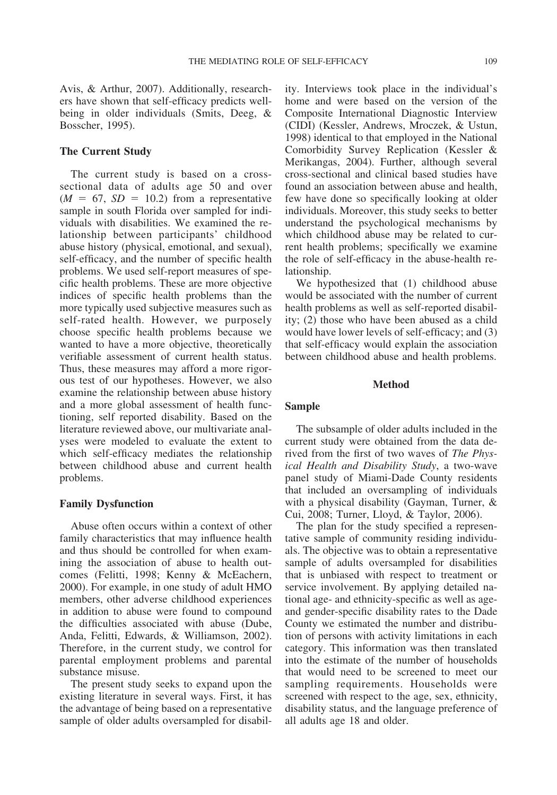Avis, & Arthur, 2007). Additionally, researchers have shown that self-efficacy predicts wellbeing in older individuals (Smits, Deeg, & Bosscher, 1995).

### **The Current Study**

The current study is based on a crosssectional data of adults age 50 and over  $(M = 67, SD = 10.2)$  from a representative sample in south Florida over sampled for individuals with disabilities. We examined the relationship between participants' childhood abuse history (physical, emotional, and sexual), self-efficacy, and the number of specific health problems. We used self-report measures of specific health problems. These are more objective indices of specific health problems than the more typically used subjective measures such as self-rated health. However, we purposely choose specific health problems because we wanted to have a more objective, theoretically verifiable assessment of current health status. Thus, these measures may afford a more rigorous test of our hypotheses. However, we also examine the relationship between abuse history and a more global assessment of health functioning, self reported disability. Based on the literature reviewed above, our multivariate analyses were modeled to evaluate the extent to which self-efficacy mediates the relationship between childhood abuse and current health problems.

#### **Family Dysfunction**

Abuse often occurs within a context of other family characteristics that may influence health and thus should be controlled for when examining the association of abuse to health outcomes (Felitti, 1998; Kenny & McEachern, 2000). For example, in one study of adult HMO members, other adverse childhood experiences in addition to abuse were found to compound the difficulties associated with abuse (Dube, Anda, Felitti, Edwards, & Williamson, 2002). Therefore, in the current study, we control for parental employment problems and parental substance misuse.

The present study seeks to expand upon the existing literature in several ways. First, it has the advantage of being based on a representative sample of older adults oversampled for disability. Interviews took place in the individual's home and were based on the version of the Composite International Diagnostic Interview (CIDI) (Kessler, Andrews, Mroczek, & Ustun, 1998) identical to that employed in the National Comorbidity Survey Replication (Kessler & Merikangas, 2004). Further, although several cross-sectional and clinical based studies have found an association between abuse and health, few have done so specifically looking at older individuals. Moreover, this study seeks to better understand the psychological mechanisms by which childhood abuse may be related to current health problems; specifically we examine the role of self-efficacy in the abuse-health relationship.

We hypothesized that (1) childhood abuse would be associated with the number of current health problems as well as self-reported disability; (2) those who have been abused as a child would have lower levels of self-efficacy; and (3) that self-efficacy would explain the association between childhood abuse and health problems.

#### **Method**

## **Sample**

The subsample of older adults included in the current study were obtained from the data derived from the first of two waves of *The Physical Health and Disability Study*, a two-wave panel study of Miami-Dade County residents that included an oversampling of individuals with a physical disability (Gayman, Turner, & Cui, 2008; Turner, Lloyd, & Taylor, 2006).

The plan for the study specified a representative sample of community residing individuals. The objective was to obtain a representative sample of adults oversampled for disabilities that is unbiased with respect to treatment or service involvement. By applying detailed national age- and ethnicity-specific as well as ageand gender-specific disability rates to the Dade County we estimated the number and distribution of persons with activity limitations in each category. This information was then translated into the estimate of the number of households that would need to be screened to meet our sampling requirements. Households were screened with respect to the age, sex, ethnicity, disability status, and the language preference of all adults age 18 and older.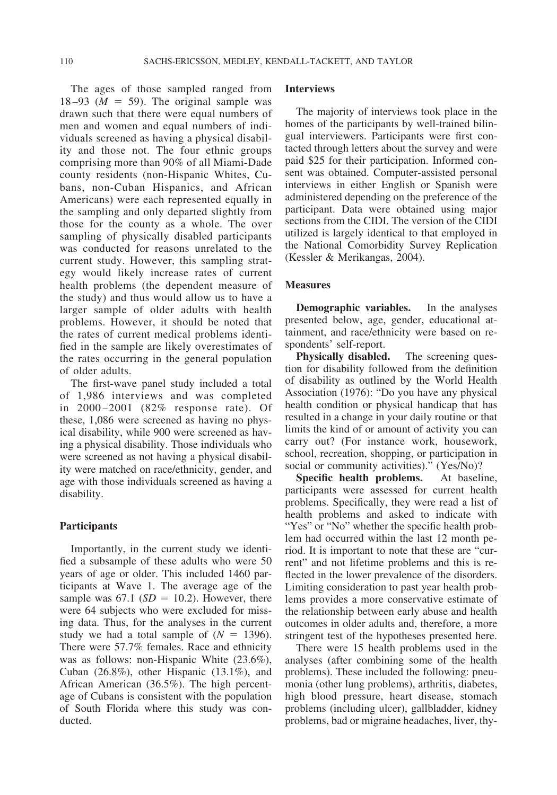The ages of those sampled ranged from 18-93 ( $M = 59$ ). The original sample was drawn such that there were equal numbers of men and women and equal numbers of individuals screened as having a physical disability and those not. The four ethnic groups comprising more than 90% of all Miami-Dade county residents (non-Hispanic Whites, Cubans, non-Cuban Hispanics, and African Americans) were each represented equally in the sampling and only departed slightly from those for the county as a whole. The over sampling of physically disabled participants was conducted for reasons unrelated to the current study. However, this sampling strategy would likely increase rates of current health problems (the dependent measure of the study) and thus would allow us to have a larger sample of older adults with health problems. However, it should be noted that the rates of current medical problems identified in the sample are likely overestimates of the rates occurring in the general population of older adults.

The first-wave panel study included a total of 1,986 interviews and was completed in 2000 –2001 (82% response rate). Of these, 1,086 were screened as having no physical disability, while 900 were screened as having a physical disability. Those individuals who were screened as not having a physical disability were matched on race/ethnicity, gender, and age with those individuals screened as having a disability.

### **Participants**

Importantly, in the current study we identified a subsample of these adults who were 50 years of age or older. This included 1460 participants at Wave 1. The average age of the sample was  $67.1$  ( $SD = 10.2$ ). However, there were 64 subjects who were excluded for missing data. Thus, for the analyses in the current study we had a total sample of  $(N = 1396)$ . There were 57.7% females. Race and ethnicity was as follows: non-Hispanic White (23.6%), Cuban (26.8%), other Hispanic (13.1%), and African American (36.5%). The high percentage of Cubans is consistent with the population of South Florida where this study was conducted.

## **Interviews**

The majority of interviews took place in the homes of the participants by well-trained bilingual interviewers. Participants were first contacted through letters about the survey and were paid \$25 for their participation. Informed consent was obtained. Computer-assisted personal interviews in either English or Spanish were administered depending on the preference of the participant. Data were obtained using major sections from the CIDI. The version of the CIDI utilized is largely identical to that employed in the National Comorbidity Survey Replication (Kessler & Merikangas, 2004).

### **Measures**

**Demographic variables.** In the analyses presented below, age, gender, educational attainment, and race/ethnicity were based on respondents' self-report.

**Physically disabled.** The screening question for disability followed from the definition of disability as outlined by the World Health Association (1976): "Do you have any physical health condition or physical handicap that has resulted in a change in your daily routine or that limits the kind of or amount of activity you can carry out? (For instance work, housework, school, recreation, shopping, or participation in social or community activities)." (Yes/No)?

**Specific health problems.** At baseline, participants were assessed for current health problems. Specifically, they were read a list of health problems and asked to indicate with "Yes" or "No" whether the specific health problem had occurred within the last 12 month period. It is important to note that these are "current" and not lifetime problems and this is reflected in the lower prevalence of the disorders. Limiting consideration to past year health problems provides a more conservative estimate of the relationship between early abuse and health outcomes in older adults and, therefore, a more stringent test of the hypotheses presented here.

There were 15 health problems used in the analyses (after combining some of the health problems). These included the following: pneumonia (other lung problems), arthritis, diabetes, high blood pressure, heart disease, stomach problems (including ulcer), gallbladder, kidney problems, bad or migraine headaches, liver, thy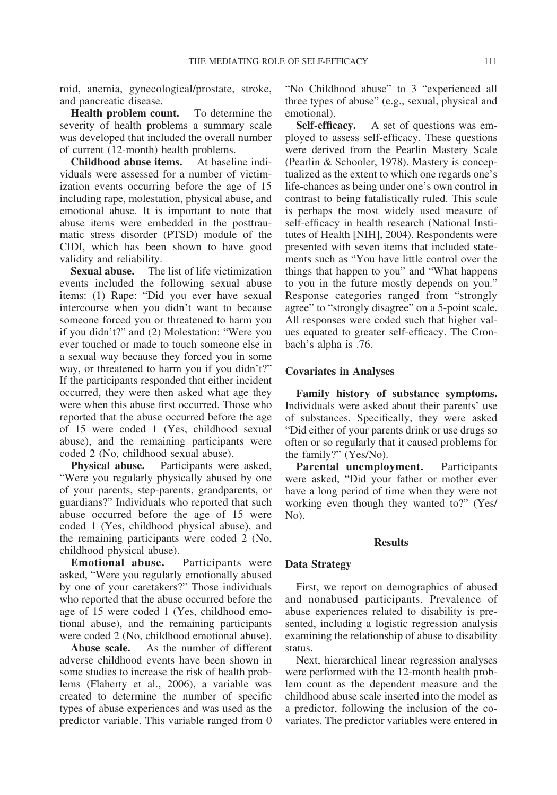roid, anemia, gynecological/prostate, stroke, and pancreatic disease.

**Health problem count.** To determine the severity of health problems a summary scale was developed that included the overall number of current (12-month) health problems.

**Childhood abuse items.** At baseline individuals were assessed for a number of victimization events occurring before the age of 15 including rape, molestation, physical abuse, and emotional abuse. It is important to note that abuse items were embedded in the posttraumatic stress disorder (PTSD) module of the CIDI, which has been shown to have good validity and reliability.

**Sexual abuse.** The list of life victimization events included the following sexual abuse items: (1) Rape: "Did you ever have sexual intercourse when you didn't want to because someone forced you or threatened to harm you if you didn't?" and (2) Molestation: "Were you ever touched or made to touch someone else in a sexual way because they forced you in some way, or threatened to harm you if you didn't?" If the participants responded that either incident occurred, they were then asked what age they were when this abuse first occurred. Those who reported that the abuse occurred before the age of 15 were coded 1 (Yes, childhood sexual abuse), and the remaining participants were coded 2 (No, childhood sexual abuse).

**Physical abuse.** Participants were asked, "Were you regularly physically abused by one of your parents, step-parents, grandparents, or guardians?" Individuals who reported that such abuse occurred before the age of 15 were coded 1 (Yes, childhood physical abuse), and the remaining participants were coded 2 (No, childhood physical abuse).

**Emotional abuse.** Participants were asked, "Were you regularly emotionally abused by one of your caretakers?" Those individuals who reported that the abuse occurred before the age of 15 were coded 1 (Yes, childhood emotional abuse), and the remaining participants were coded 2 (No, childhood emotional abuse).

**Abuse scale.** As the number of different adverse childhood events have been shown in some studies to increase the risk of health problems (Flaherty et al., 2006), a variable was created to determine the number of specific types of abuse experiences and was used as the predictor variable. This variable ranged from 0 "No Childhood abuse" to 3 "experienced all three types of abuse" (e.g., sexual, physical and emotional).

**Self-efficacy.** A set of questions was employed to assess self-efficacy. These questions were derived from the Pearlin Mastery Scale (Pearlin & Schooler, 1978). Mastery is conceptualized as the extent to which one regards one's life-chances as being under one's own control in contrast to being fatalistically ruled. This scale is perhaps the most widely used measure of self-efficacy in health research (National Institutes of Health [NIH], 2004). Respondents were presented with seven items that included statements such as "You have little control over the things that happen to you" and "What happens to you in the future mostly depends on you." Response categories ranged from "strongly agree" to "strongly disagree" on a 5-point scale. All responses were coded such that higher values equated to greater self-efficacy. The Cronbach's alpha is .76.

### **Covariates in Analyses**

**Family history of substance symptoms.** Individuals were asked about their parents' use of substances. Specifically, they were asked "Did either of your parents drink or use drugs so often or so regularly that it caused problems for the family?" (Yes/No).

**Parental unemployment.** Participants were asked, "Did your father or mother ever have a long period of time when they were not working even though they wanted to?" (Yes/ No).

#### **Results**

### **Data Strategy**

First, we report on demographics of abused and nonabused participants. Prevalence of abuse experiences related to disability is presented, including a logistic regression analysis examining the relationship of abuse to disability status.

Next, hierarchical linear regression analyses were performed with the 12-month health problem count as the dependent measure and the childhood abuse scale inserted into the model as a predictor, following the inclusion of the covariates. The predictor variables were entered in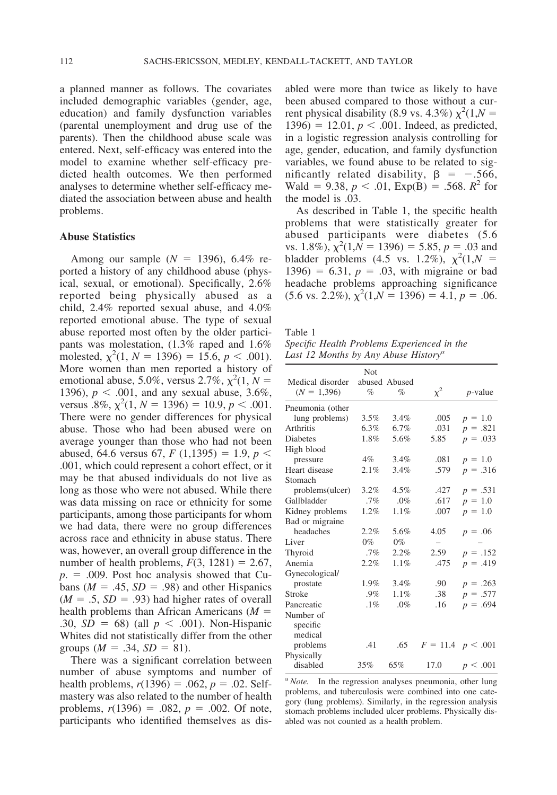a planned manner as follows. The covariates included demographic variables (gender, age, education) and family dysfunction variables (parental unemployment and drug use of the parents). Then the childhood abuse scale was entered. Next, self-efficacy was entered into the model to examine whether self-efficacy predicted health outcomes. We then performed analyses to determine whether self-efficacy mediated the association between abuse and health problems.

## **Abuse Statistics**

Among our sample  $(N = 1396)$ , 6.4% reported a history of any childhood abuse (physical, sexual, or emotional). Specifically, 2.6% reported being physically abused as a child, 2.4% reported sexual abuse, and 4.0% reported emotional abuse. The type of sexual abuse reported most often by the older participants was molestation, (1.3% raped and 1.6% molested,  $\chi^2(1, N = 1396) = 15.6, p < .001$ . More women than men reported a history of emotional abuse, 5.0%, versus 2.7%,  $\chi^2(1, N =$ 1396),  $p < .001$ , and any sexual abuse, 3.6%, versus .8%,  $\chi^2(1, N = 1396) = 10.9, p < .001$ . There were no gender differences for physical abuse. Those who had been abused were on average younger than those who had not been abused, 64.6 versus 67,  $F(1,1395) = 1.9, p <$ .001, which could represent a cohort effect, or it may be that abused individuals do not live as long as those who were not abused. While there was data missing on race or ethnicity for some participants, among those participants for whom we had data, there were no group differences across race and ethnicity in abuse status. There was, however, an overall group difference in the number of health problems,  $F(3, 1281) = 2.67$ ,  $p = 0.009$ . Post hoc analysis showed that Cubans ( $M = .45$ ,  $SD = .98$ ) and other Hispanics  $(M = .5, SD = .93)$  had higher rates of overall health problems than African Americans (*M* .30,  $SD = 68$ ) (all  $p < .001$ ). Non-Hispanic Whites did not statistically differ from the other groups  $(M = .34, SD = 81)$ .

There was a significant correlation between number of abuse symptoms and number of health problems,  $r(1396) = .062$ ,  $p = .02$ . Selfmastery was also related to the number of health problems,  $r(1396) = .082$ ,  $p = .002$ . Of note, participants who identified themselves as disabled were more than twice as likely to have been abused compared to those without a current physical disability (8.9 vs. 4.3%)  $\chi^2(1, N =$  $1396$ ) = 12.01,  $p < .001$ . Indeed, as predicted, in a logistic regression analysis controlling for age, gender, education, and family dysfunction variables, we found abuse to be related to significantly related disability,  $\beta = -.566$ ,  $\text{Wald} = 9.38, p \lt 0.01, \text{Exp}(B) = 0.568, R^2 \text{ for }$ the model is .03.

As described in Table 1, the specific health problems that were statistically greater for abused participants were diabetes (5.6 vs. 1.8%),  $\chi^2(1, N = 1396) = 5.85$ ,  $p = .03$  and bladder problems (4.5 vs. 1.2%),  $\chi^2(1, N =$  $1396$ ) = 6.31,  $p = .03$ , with migraine or bad headache problems approaching significance  $(5.6 \text{ vs. } 2.2\%)$ ,  $\chi^2(1,N = 1396) = 4.1, p = .06$ .

Table 1

*Specific Health Problems Experienced in the Last 12 Months by Any Abuse Historya*

| Medical disorder | Not     | abused Abused |                       |            |
|------------------|---------|---------------|-----------------------|------------|
| $(N = 1,396)$    | $\%$    | %             | $\chi^2$              | $p$ -value |
| Pneumonia (other |         |               |                       |            |
| lung problems)   | $3.5\%$ | 3.4%          | .005                  | $p = 1.0$  |
| Arthritis        | 6.3%    | 6.7%          | .031                  | $p = .821$ |
| Diabetes         | 1.8%    | 5.6%          | 5.85                  | $p = .033$ |
| High blood       |         |               |                       |            |
| pressure         | $4\%$   | 3.4%          | .081                  | $p = 1.0$  |
| Heart disease    | 2.1%    | 3.4%          | .579                  | $p = .316$ |
| Stomach          |         |               |                       |            |
| problems(ulcer)  | 3.2%    | 4.5%          | .427                  | $p = .531$ |
| Gallbladder      | .7%     | .0%           | .617                  | $p = 1.0$  |
| Kidney problems  | 1.2%    | 1.1%          | .007                  | $p = 1.0$  |
| Bad or migraine  |         |               |                       |            |
| headaches        | 2.2%    | 5.6%          | 4.05                  | $p = .06$  |
| Liver            | $0\%$   | $0\%$         |                       |            |
| Thyroid          | $.7\%$  | $2.2\%$       | 2.59                  | $p = .152$ |
| Anemia           | 2.2%    | 1.1%          | .475                  | $p = .419$ |
| Gynecological/   |         |               |                       |            |
| prostate         | 1.9%    | $3.4\%$       | .90                   | $p = .263$ |
| <b>Stroke</b>    | $.9\%$  | $1.1\%$       | .38                   | $p = .577$ |
| Pancreatic       | .1%     | $.0\%$        | .16                   | $p = .694$ |
| Number of        |         |               |                       |            |
| specific         |         |               |                       |            |
| medical          |         |               |                       |            |
| problems         | .41     | .65           | $F = 11.4$ $p < .001$ |            |
| Physically       |         |               |                       |            |
| disabled         | 35%     | 65%           | 17.0                  | p < .001   |
|                  |         |               |                       |            |

<sup>a</sup> *Note*. In the regression analyses pneumonia, other lung problems, and tuberculosis were combined into one category (lung problems). Similarly, in the regression analysis stomach problems included ulcer problems. Physically disabled was not counted as a health problem.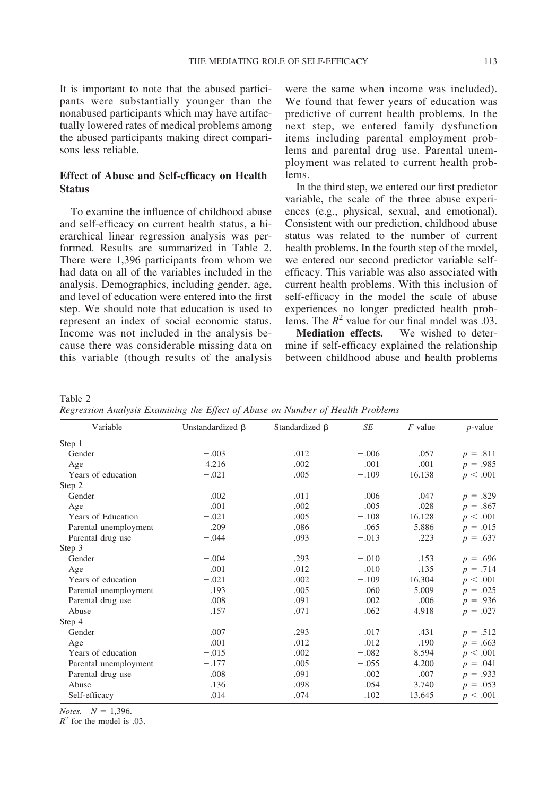It is important to note that the abused participants were substantially younger than the nonabused participants which may have artifactually lowered rates of medical problems among the abused participants making direct comparisons less reliable.

# **Effect of Abuse and Self-efficacy on Health Status**

To examine the influence of childhood abuse and self-efficacy on current health status, a hierarchical linear regression analysis was performed. Results are summarized in Table 2. There were 1,396 participants from whom we had data on all of the variables included in the analysis. Demographics, including gender, age, and level of education were entered into the first step. We should note that education is used to represent an index of social economic status. Income was not included in the analysis because there was considerable missing data on this variable (though results of the analysis

were the same when income was included). We found that fewer years of education was predictive of current health problems. In the next step, we entered family dysfunction items including parental employment problems and parental drug use. Parental unemployment was related to current health problems.

In the third step, we entered our first predictor variable, the scale of the three abuse experiences (e.g., physical, sexual, and emotional). Consistent with our prediction, childhood abuse status was related to the number of current health problems. In the fourth step of the model, we entered our second predictor variable selfefficacy. This variable was also associated with current health problems. With this inclusion of self-efficacy in the model the scale of abuse experiences no longer predicted health problems. The  $R^2$  value for our final model was .03.

**Mediation effects.** We wished to determine if self-efficacy explained the relationship between childhood abuse and health problems

Table 2

*Regression Analysis Examining the Effect of Abuse on Number of Health Problems*

| Variable              |                        |                |         |           |               |
|-----------------------|------------------------|----------------|---------|-----------|---------------|
|                       | Unstandardized $\beta$ | Standardized β | SE      | $F$ value | $p$ -value    |
| Step 1                |                        |                |         |           |               |
| Gender                | $-.003$                | .012           | $-.006$ | .057      | $p = .811$    |
| Age                   | 4.216                  | .002           | .001    | .001      | $p = .985$    |
| Years of education    | $-.021$                | .005           | $-.109$ | 16.138    | p < .001      |
| Step 2                |                        |                |         |           |               |
| Gender                | $-.002$                | .011           | $-.006$ | .047      | $p = .829$    |
| Age                   | .001                   | .002           | .005    | .028      | $p = .867$    |
| Years of Education    | $-.021$                | .005           | $-.108$ | 16.128    | p < .001      |
| Parental unemployment | $-.209$                | .086           | $-.065$ | 5.886     | $p = .015$    |
| Parental drug use     | $-.044$                | .093           | $-.013$ | .223      | $p = .637$    |
| Step 3                |                        |                |         |           |               |
| Gender                | $-.004$                | .293           | $-.010$ | .153      | $p = .696$    |
| Age                   | .001                   | .012           | .010    | .135      | $p = .714$    |
| Years of education    | $-.021$                | .002           | $-.109$ | 16.304    | p < .001      |
| Parental unemployment | $-.193$                | .005           | $-.060$ | 5.009     | $p = .025$    |
| Parental drug use     | .008                   | .091           | .002    | .006      | $p = .936$    |
| Abuse                 | .157                   | .071           | .062    | 4.918     | $p = .027$    |
| Step 4                |                        |                |         |           |               |
| Gender                | $-.007$                | .293           | $-.017$ | .431      | $p = .512$    |
| Age                   | .001                   | .012           | .012    | .190      | $p = .663$    |
| Years of education    | $-.015$                | .002           | $-.082$ | 8.594     | p < .001      |
| Parental unemployment | $-.177$                | .005           | $-.055$ | 4.200     | .041<br>$p =$ |
| Parental drug use     | .008                   | .091           | .002    | .007      | $p = .933$    |
| Abuse                 | .136                   | .098           | .054    | 3.740     | $p = .053$    |
| Self-efficacy         | $-.014$                | .074           | $-.102$ | 13.645    | p < .001      |

*Notes.*  $N = 1,396$ .

 $R^2$  for the model is .03.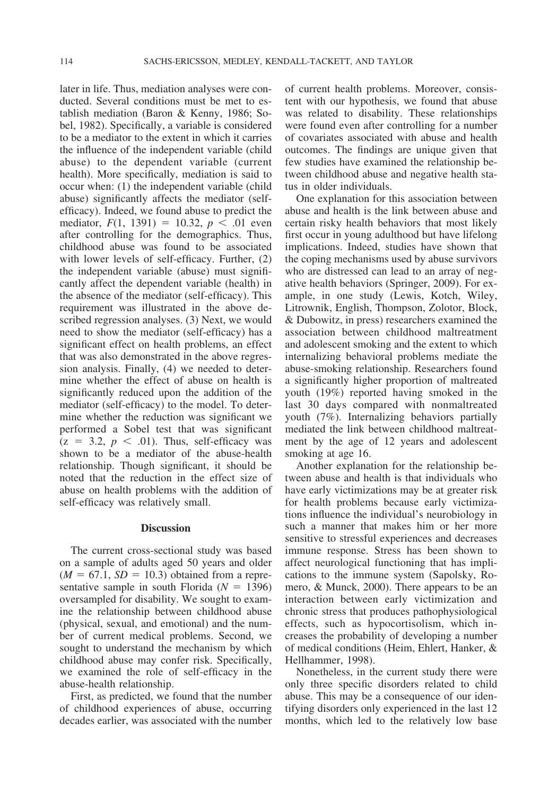later in life. Thus, mediation analyses were conducted. Several conditions must be met to establish mediation (Baron & Kenny, 1986; Sobel, 1982). Specifically, a variable is considered to be a mediator to the extent in which it carries the influence of the independent variable (child abuse) to the dependent variable (current health). More specifically, mediation is said to occur when: (1) the independent variable (child abuse) significantly affects the mediator (selfefficacy). Indeed, we found abuse to predict the mediator,  $F(1, 1391) = 10.32, p < .01$  even after controlling for the demographics. Thus, childhood abuse was found to be associated with lower levels of self-efficacy. Further, (2) the independent variable (abuse) must significantly affect the dependent variable (health) in the absence of the mediator (self-efficacy). This requirement was illustrated in the above described regression analyses. (3) Next, we would need to show the mediator (self-efficacy) has a significant effect on health problems, an effect that was also demonstrated in the above regression analysis. Finally, (4) we needed to determine whether the effect of abuse on health is significantly reduced upon the addition of the mediator (self-efficacy) to the model. To determine whether the reduction was significant we performed a Sobel test that was significant  $(z = 3.2, p < .01)$ . Thus, self-efficacy was shown to be a mediator of the abuse-health relationship. Though significant, it should be noted that the reduction in the effect size of abuse on health problems with the addition of self-efficacy was relatively small.

### **Discussion**

The current cross-sectional study was based on a sample of adults aged 50 years and older  $(M = 67.1, SD = 10.3)$  obtained from a representative sample in south Florida  $(N = 1396)$ oversampled for disability. We sought to examine the relationship between childhood abuse (physical, sexual, and emotional) and the number of current medical problems. Second, we sought to understand the mechanism by which childhood abuse may confer risk. Specifically, we examined the role of self-efficacy in the abuse-health relationship.

First, as predicted, we found that the number of childhood experiences of abuse, occurring decades earlier, was associated with the number of current health problems. Moreover, consistent with our hypothesis, we found that abuse was related to disability. These relationships were found even after controlling for a number of covariates associated with abuse and health outcomes. The findings are unique given that few studies have examined the relationship between childhood abuse and negative health status in older individuals.

One explanation for this association between abuse and health is the link between abuse and certain risky health behaviors that most likely first occur in young adulthood but have lifelong implications. Indeed, studies have shown that the coping mechanisms used by abuse survivors who are distressed can lead to an array of negative health behaviors (Springer, 2009). For example, in one study (Lewis, Kotch, Wiley, Litrownik, English, Thompson, Zolotor, Block, & Dubowitz, in press) researchers examined the association between childhood maltreatment and adolescent smoking and the extent to which internalizing behavioral problems mediate the abuse-smoking relationship. Researchers found a significantly higher proportion of maltreated youth (19%) reported having smoked in the last 30 days compared with nonmaltreated youth (7%). Internalizing behaviors partially mediated the link between childhood maltreatment by the age of 12 years and adolescent smoking at age 16.

Another explanation for the relationship between abuse and health is that individuals who have early victimizations may be at greater risk for health problems because early victimizations influence the individual's neurobiology in such a manner that makes him or her more sensitive to stressful experiences and decreases immune response. Stress has been shown to affect neurological functioning that has implications to the immune system (Sapolsky, Romero, & Munck, 2000). There appears to be an interaction between early victimization and chronic stress that produces pathophysiological effects, such as hypocortisolism, which increases the probability of developing a number of medical conditions (Heim, Ehlert, Hanker, & Hellhammer, 1998).

Nonetheless, in the current study there were only three specific disorders related to child abuse. This may be a consequence of our identifying disorders only experienced in the last 12 months, which led to the relatively low base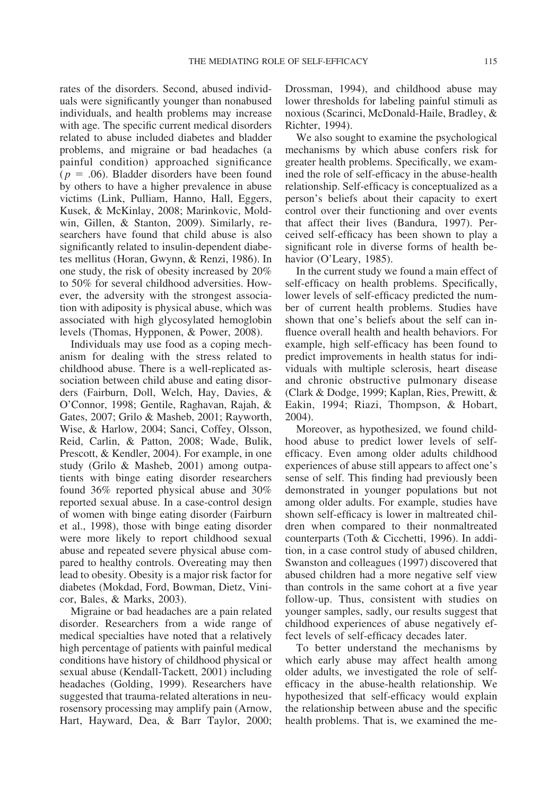rates of the disorders. Second, abused individuals were significantly younger than nonabused individuals, and health problems may increase with age. The specific current medical disorders related to abuse included diabetes and bladder problems, and migraine or bad headaches (a painful condition) approached significance  $(p = .06)$ . Bladder disorders have been found by others to have a higher prevalence in abuse victims (Link, Pulliam, Hanno, Hall, Eggers, Kusek, & McKinlay, 2008; Marinkovic, Moldwin, Gillen, & Stanton, 2009). Similarly, researchers have found that child abuse is also significantly related to insulin-dependent diabetes mellitus (Horan, Gwynn, & Renzi, 1986). In one study, the risk of obesity increased by 20% to 50% for several childhood adversities. However, the adversity with the strongest association with adiposity is physical abuse, which was associated with high glycosylated hemoglobin levels (Thomas, Hypponen, & Power, 2008).

Individuals may use food as a coping mechanism for dealing with the stress related to childhood abuse. There is a well-replicated association between child abuse and eating disorders (Fairburn, Doll, Welch, Hay, Davies, & O'Connor, 1998; Gentile, Raghavan, Rajah, & Gates, 2007; Grilo & Masheb, 2001; Rayworth, Wise, & Harlow, 2004; Sanci, Coffey, Olsson, Reid, Carlin, & Patton, 2008; Wade, Bulik, Prescott, & Kendler, 2004). For example, in one study (Grilo & Masheb, 2001) among outpatients with binge eating disorder researchers found 36% reported physical abuse and 30% reported sexual abuse. In a case-control design of women with binge eating disorder (Fairburn et al., 1998), those with binge eating disorder were more likely to report childhood sexual abuse and repeated severe physical abuse compared to healthy controls. Overeating may then lead to obesity. Obesity is a major risk factor for diabetes (Mokdad, Ford, Bowman, Dietz, Vinicor, Bales, & Marks, 2003).

Migraine or bad headaches are a pain related disorder. Researchers from a wide range of medical specialties have noted that a relatively high percentage of patients with painful medical conditions have history of childhood physical or sexual abuse (Kendall-Tackett, 2001) including headaches (Golding, 1999). Researchers have suggested that trauma-related alterations in neurosensory processing may amplify pain (Arnow, Hart, Hayward, Dea, & Barr Taylor, 2000; Drossman, 1994), and childhood abuse may lower thresholds for labeling painful stimuli as noxious (Scarinci, McDonald-Haile, Bradley, & Richter, 1994).

We also sought to examine the psychological mechanisms by which abuse confers risk for greater health problems. Specifically, we examined the role of self-efficacy in the abuse-health relationship. Self-efficacy is conceptualized as a person's beliefs about their capacity to exert control over their functioning and over events that affect their lives (Bandura, 1997). Perceived self-efficacy has been shown to play a significant role in diverse forms of health behavior (O'Leary, 1985).

In the current study we found a main effect of self-efficacy on health problems. Specifically, lower levels of self-efficacy predicted the number of current health problems. Studies have shown that one's beliefs about the self can influence overall health and health behaviors. For example, high self-efficacy has been found to predict improvements in health status for individuals with multiple sclerosis, heart disease and chronic obstructive pulmonary disease (Clark & Dodge, 1999; Kaplan, Ries, Prewitt, & Eakin, 1994; Riazi, Thompson, & Hobart, 2004).

Moreover, as hypothesized, we found childhood abuse to predict lower levels of selfefficacy. Even among older adults childhood experiences of abuse still appears to affect one's sense of self. This finding had previously been demonstrated in younger populations but not among older adults. For example, studies have shown self-efficacy is lower in maltreated children when compared to their nonmaltreated counterparts (Toth & Cicchetti, 1996). In addition, in a case control study of abused children, Swanston and colleagues (1997) discovered that abused children had a more negative self view than controls in the same cohort at a five year follow-up. Thus, consistent with studies on younger samples, sadly, our results suggest that childhood experiences of abuse negatively effect levels of self-efficacy decades later.

To better understand the mechanisms by which early abuse may affect health among older adults, we investigated the role of selfefficacy in the abuse-health relationship. We hypothesized that self-efficacy would explain the relationship between abuse and the specific health problems. That is, we examined the me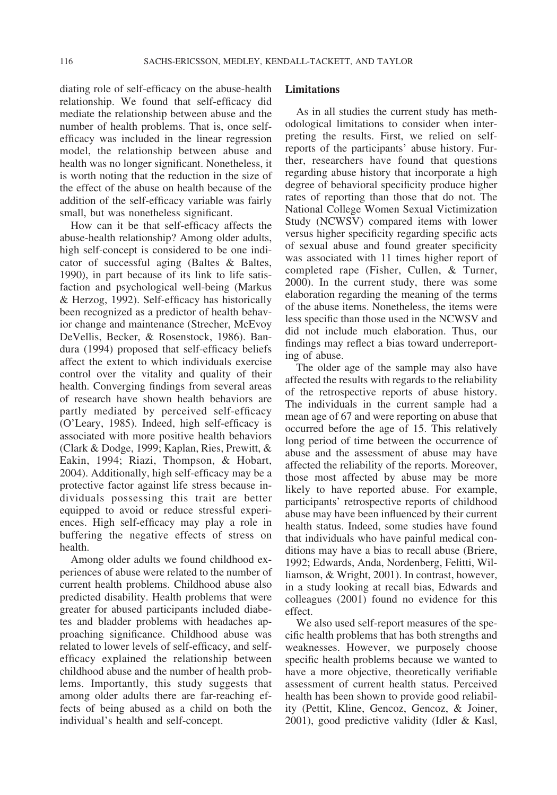diating role of self-efficacy on the abuse-health relationship. We found that self-efficacy did mediate the relationship between abuse and the number of health problems. That is, once selfefficacy was included in the linear regression model, the relationship between abuse and health was no longer significant. Nonetheless, it is worth noting that the reduction in the size of the effect of the abuse on health because of the addition of the self-efficacy variable was fairly small, but was nonetheless significant.

How can it be that self-efficacy affects the abuse-health relationship? Among older adults, high self-concept is considered to be one indicator of successful aging (Baltes & Baltes, 1990), in part because of its link to life satisfaction and psychological well-being (Markus & Herzog, 1992). Self-efficacy has historically been recognized as a predictor of health behavior change and maintenance (Strecher, McEvoy DeVellis, Becker, & Rosenstock, 1986). Bandura (1994) proposed that self-efficacy beliefs affect the extent to which individuals exercise control over the vitality and quality of their health. Converging findings from several areas of research have shown health behaviors are partly mediated by perceived self-efficacy (O'Leary, 1985). Indeed, high self-efficacy is associated with more positive health behaviors (Clark & Dodge, 1999; Kaplan, Ries, Prewitt, & Eakin, 1994; Riazi, Thompson, & Hobart, 2004). Additionally, high self-efficacy may be a protective factor against life stress because individuals possessing this trait are better equipped to avoid or reduce stressful experiences. High self-efficacy may play a role in buffering the negative effects of stress on health.

Among older adults we found childhood experiences of abuse were related to the number of current health problems. Childhood abuse also predicted disability. Health problems that were greater for abused participants included diabetes and bladder problems with headaches approaching significance. Childhood abuse was related to lower levels of self-efficacy, and selfefficacy explained the relationship between childhood abuse and the number of health problems. Importantly, this study suggests that among older adults there are far-reaching effects of being abused as a child on both the individual's health and self-concept.

## **Limitations**

As in all studies the current study has methodological limitations to consider when interpreting the results. First, we relied on selfreports of the participants' abuse history. Further, researchers have found that questions regarding abuse history that incorporate a high degree of behavioral specificity produce higher rates of reporting than those that do not. The National College Women Sexual Victimization Study (NCWSV) compared items with lower versus higher specificity regarding specific acts of sexual abuse and found greater specificity was associated with 11 times higher report of completed rape (Fisher, Cullen, & Turner, 2000). In the current study, there was some elaboration regarding the meaning of the terms of the abuse items. Nonetheless, the items were less specific than those used in the NCWSV and did not include much elaboration. Thus, our findings may reflect a bias toward underreporting of abuse.

The older age of the sample may also have affected the results with regards to the reliability of the retrospective reports of abuse history. The individuals in the current sample had a mean age of 67 and were reporting on abuse that occurred before the age of 15. This relatively long period of time between the occurrence of abuse and the assessment of abuse may have affected the reliability of the reports. Moreover, those most affected by abuse may be more likely to have reported abuse. For example, participants' retrospective reports of childhood abuse may have been influenced by their current health status. Indeed, some studies have found that individuals who have painful medical conditions may have a bias to recall abuse (Briere, 1992; Edwards, Anda, Nordenberg, Felitti, Williamson, & Wright, 2001). In contrast, however, in a study looking at recall bias, Edwards and colleagues (2001) found no evidence for this effect.

We also used self-report measures of the specific health problems that has both strengths and weaknesses. However, we purposely choose specific health problems because we wanted to have a more objective, theoretically verifiable assessment of current health status. Perceived health has been shown to provide good reliability (Pettit, Kline, Gencoz, Gencoz, & Joiner, 2001), good predictive validity (Idler & Kasl,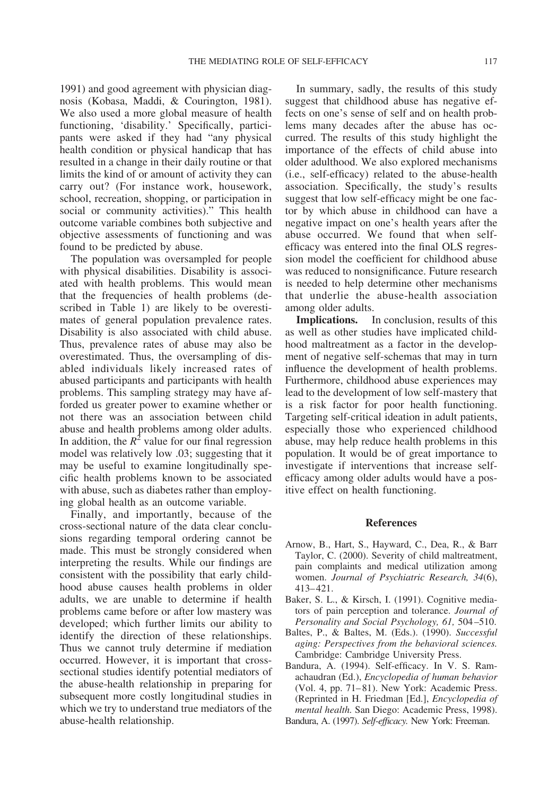1991) and good agreement with physician diagnosis (Kobasa, Maddi, & Courington, 1981). We also used a more global measure of health functioning, 'disability.' Specifically, participants were asked if they had "any physical health condition or physical handicap that has resulted in a change in their daily routine or that limits the kind of or amount of activity they can carry out? (For instance work, housework, school, recreation, shopping, or participation in social or community activities)." This health outcome variable combines both subjective and objective assessments of functioning and was found to be predicted by abuse.

The population was oversampled for people with physical disabilities. Disability is associated with health problems. This would mean that the frequencies of health problems (described in Table 1) are likely to be overestimates of general population prevalence rates. Disability is also associated with child abuse. Thus, prevalence rates of abuse may also be overestimated. Thus, the oversampling of disabled individuals likely increased rates of abused participants and participants with health problems. This sampling strategy may have afforded us greater power to examine whether or not there was an association between child abuse and health problems among older adults. In addition, the  $R^2$  value for our final regression model was relatively low .03; suggesting that it may be useful to examine longitudinally specific health problems known to be associated with abuse, such as diabetes rather than employing global health as an outcome variable.

Finally, and importantly, because of the cross-sectional nature of the data clear conclusions regarding temporal ordering cannot be made. This must be strongly considered when interpreting the results. While our findings are consistent with the possibility that early childhood abuse causes health problems in older adults, we are unable to determine if health problems came before or after low mastery was developed; which further limits our ability to identify the direction of these relationships. Thus we cannot truly determine if mediation occurred. However, it is important that crosssectional studies identify potential mediators of the abuse-health relationship in preparing for subsequent more costly longitudinal studies in which we try to understand true mediators of the abuse-health relationship.

In summary, sadly, the results of this study suggest that childhood abuse has negative effects on one's sense of self and on health problems many decades after the abuse has occurred. The results of this study highlight the importance of the effects of child abuse into older adulthood. We also explored mechanisms (i.e., self-efficacy) related to the abuse-health association. Specifically, the study's results suggest that low self-efficacy might be one factor by which abuse in childhood can have a negative impact on one's health years after the abuse occurred. We found that when selfefficacy was entered into the final OLS regression model the coefficient for childhood abuse was reduced to nonsignificance. Future research is needed to help determine other mechanisms that underlie the abuse-health association among older adults.

**Implications.** In conclusion, results of this as well as other studies have implicated childhood maltreatment as a factor in the development of negative self-schemas that may in turn influence the development of health problems. Furthermore, childhood abuse experiences may lead to the development of low self-mastery that is a risk factor for poor health functioning. Targeting self-critical ideation in adult patients, especially those who experienced childhood abuse, may help reduce health problems in this population. It would be of great importance to investigate if interventions that increase selfefficacy among older adults would have a positive effect on health functioning.

#### **References**

- Arnow, B., Hart, S., Hayward, C., Dea, R., & Barr Taylor, C. (2000). Severity of child maltreatment, pain complaints and medical utilization among women. *Journal of Psychiatric Research, 34*(6), 413– 421.
- Baker, S. L., & Kirsch, I. (1991). Cognitive mediators of pain perception and tolerance. *Journal of Personality and Social Psychology, 61,* 504 –510.
- Baltes, P., & Baltes, M. (Eds.). (1990). *Successful aging: Perspectives from the behavioral sciences.* Cambridge: Cambridge University Press.
- Bandura, A. (1994). Self-efficacy. In V. S. Ramachaudran (Ed.), *Encyclopedia of human behavior* (Vol. 4, pp. 71–81). New York: Academic Press. (Reprinted in H. Friedman [Ed.], *Encyclopedia of mental health.* San Diego: Academic Press, 1998).
- Bandura, A. (1997). *Self-efficacy.* New York: Freeman.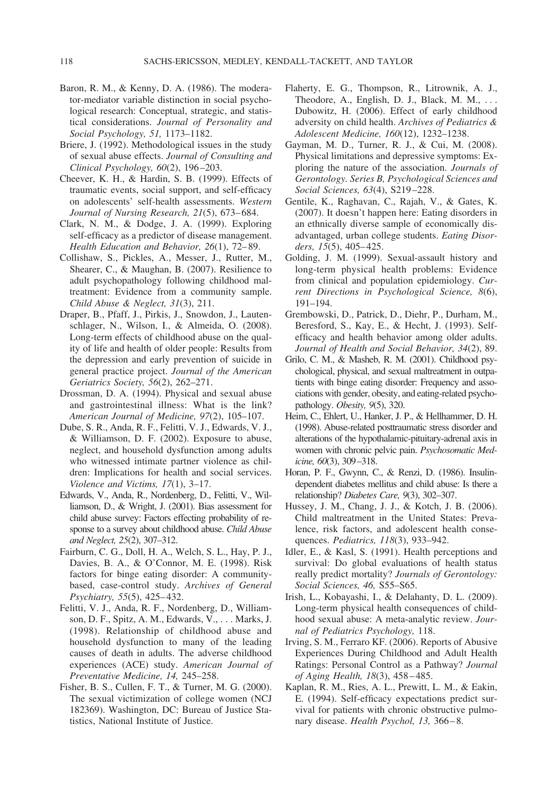- Baron, R. M., & Kenny, D. A. (1986). The moderator-mediator variable distinction in social psychological research: Conceptual, strategic, and statistical considerations. *Journal of Personality and Social Psychology, 51,* 1173–1182.
- Briere, J. (1992). Methodological issues in the study of sexual abuse effects. *Journal of Consulting and Clinical Psychology, 60*(2), 196 –203.
- Cheever, K. H., & Hardin, S. B. (1999). Effects of traumatic events, social support, and self-efficacy on adolescents' self-health assessments. *Western Journal of Nursing Research, 21*(5), 673– 684.
- Clark, N. M., & Dodge, J. A. (1999). Exploring self-efficacy as a predictor of disease management. *Health Education and Behavior, 26*(1), 72– 89.
- Collishaw, S., Pickles, A., Messer, J., Rutter, M., Shearer, C., & Maughan, B. (2007). Resilience to adult psychopathology following childhood maltreatment: Evidence from a community sample. *Child Abuse & Neglect, 31*(3), 211.
- Draper, B., Pfaff, J., Pirkis, J., Snowdon, J., Lautenschlager, N., Wilson, I., & Almeida, O. (2008). Long-term effects of childhood abuse on the quality of life and health of older people: Results from the depression and early prevention of suicide in general practice project. *Journal of the American Geriatrics Society, 56*(2), 262–271.
- Drossman, D. A. (1994). Physical and sexual abuse and gastrointestinal illness: What is the link? *American Journal of Medicine, 97*(2), 105–107.
- Dube, S. R., Anda, R. F., Felitti, V. J., Edwards, V. J., & Williamson, D. F. (2002). Exposure to abuse, neglect, and household dysfunction among adults who witnessed intimate partner violence as children: Implications for health and social services. *Violence and Victims, 17*(1), 3–17.
- Edwards, V., Anda, R., Nordenberg, D., Felitti, V., Williamson, D., & Wright, J. (2001). Bias assessment for child abuse survey: Factors effecting probability of response to a survey about childhood abuse. *Child Abuse and Neglect, 25*(2), 307–312.
- Fairburn, C. G., Doll, H. A., Welch, S. L., Hay, P. J., Davies, B. A., & O'Connor, M. E. (1998). Risk factors for binge eating disorder: A communitybased, case-control study. *Archives of General Psychiatry, 55*(5), 425– 432.
- Felitti, V. J., Anda, R. F., Nordenberg, D., Williamson, D. F., Spitz, A. M., Edwards, V.,... Marks, J. (1998). Relationship of childhood abuse and household dysfunction to many of the leading causes of death in adults. The adverse childhood experiences (ACE) study. *American Journal of Preventative Medicine, 14,* 245–258.
- Fisher, B. S., Cullen, F. T., & Turner, M. G. (2000). The sexual victimization of college women (NCJ 182369). Washington, DC: Bureau of Justice Statistics, National Institute of Justice.
- Flaherty, E. G., Thompson, R., Litrownik, A. J., Theodore, A., English, D. J., Black, M. M., . . . Dubowitz, H. (2006). Effect of early childhood adversity on child health. *Archives of Pediatrics & Adolescent Medicine, 160*(12), 1232–1238.
- Gayman, M. D., Turner, R. J., & Cui, M. (2008). Physical limitations and depressive symptoms: Exploring the nature of the association. *Journals of Gerontology. Series B, Psychological Sciences and Social Sciences, 63*(4), S219 –228.
- Gentile, K., Raghavan, C., Rajah, V., & Gates, K. (2007). It doesn't happen here: Eating disorders in an ethnically diverse sample of economically disadvantaged, urban college students. *Eating Disorders, 15*(5), 405– 425.
- Golding, J. M. (1999). Sexual-assault history and long-term physical health problems: Evidence from clinical and population epidemiology. *Current Directions in Psychological Science, 8*(6), 191–194.
- Grembowski, D., Patrick, D., Diehr, P., Durham, M., Beresford, S., Kay, E., & Hecht, J. (1993). Selfefficacy and health behavior among older adults. *Journal of Health and Social Behavior, 34*(2), 89.
- Grilo, C. M., & Masheb, R. M. (2001). Childhood psychological, physical, and sexual maltreatment in outpatients with binge eating disorder: Frequency and associations with gender, obesity, and eating-related psychopathology. *Obesity, 9*(5), 320.
- Heim, C., Ehlert, U., Hanker, J. P., & Hellhammer, D. H. (1998). Abuse-related posttraumatic stress disorder and alterations of the hypothalamic-pituitary-adrenal axis in women with chronic pelvic pain. *Psychosomatic Medicine, 60*(3), 309–318.
- Horan, P. F., Gwynn, C., & Renzi, D. (1986). Insulindependent diabetes mellitus and child abuse: Is there a relationship? *Diabetes Care, 9*(3), 302–307.
- Hussey, J. M., Chang, J. J., & Kotch, J. B. (2006). Child maltreatment in the United States: Prevalence, risk factors, and adolescent health consequences. *Pediatrics, 118*(3), 933–942.
- Idler, E., & Kasl, S. (1991). Health perceptions and survival: Do global evaluations of health status really predict mortality? *Journals of Gerontology: Social Sciences, 46,* S55–S65.
- Irish, L., Kobayashi, I., & Delahanty, D. L. (2009). Long-term physical health consequences of childhood sexual abuse: A meta-analytic review. *Journal of Pediatrics Psychology,* 118.
- Irving, S. M., Ferraro KF. (2006). Reports of Abusive Experiences During Childhood and Adult Health Ratings: Personal Control as a Pathway? *Journal of Aging Health, 18*(3), 458 – 485.
- Kaplan, R. M., Ries, A. L., Prewitt, L. M., & Eakin, E. (1994). Self-efficacy expectations predict survival for patients with chronic obstructive pulmonary disease. *Health Psychol, 13, 366-8*.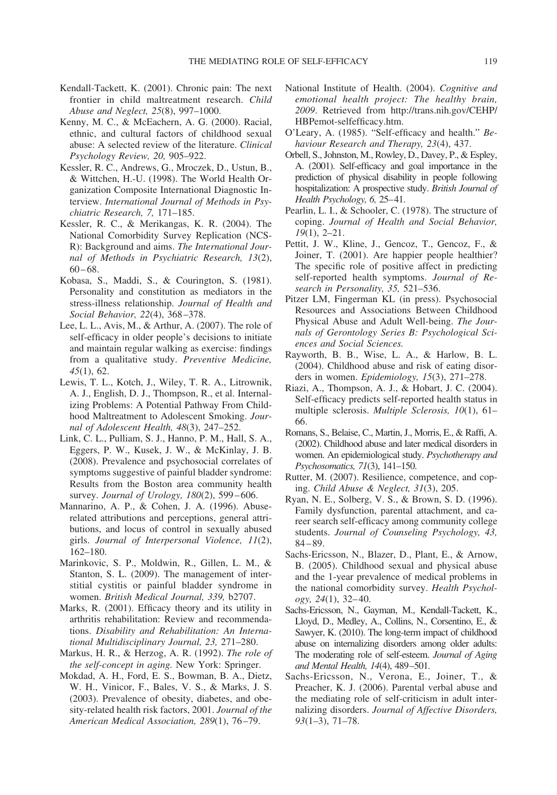- Kendall-Tackett, K. (2001). Chronic pain: The next frontier in child maltreatment research. *Child Abuse and Neglect, 25*(8), 997–1000.
- Kenny, M. C., & McEachern, A. G. (2000). Racial, ethnic, and cultural factors of childhood sexual abuse: A selected review of the literature. *Clinical Psychology Review, 20,* 905–922.
- Kessler, R. C., Andrews, G., Mroczek, D., Ustun, B., & Wittchen, H.-U. (1998). The World Health Organization Composite International Diagnostic Interview. *International Journal of Methods in Psychiatric Research, 7,* 171–185.
- Kessler, R. C., & Merikangas, K. R. (2004). The National Comorbidity Survey Replication (NCS-R): Background and aims. *The International Journal of Methods in Psychiatric Research, 13*(2),  $60 - 68$ .
- Kobasa, S., Maddi, S., & Courington, S. (1981). Personality and constitution as mediators in the stress-illness relationship. *Journal of Health and Social Behavior, 22*(4), 368 –378.
- Lee, L. L., Avis, M., & Arthur, A. (2007). The role of self-efficacy in older people's decisions to initiate and maintain regular walking as exercise: findings from a qualitative study. *Preventive Medicine, 45*(1), 62.
- Lewis, T. L., Kotch, J., Wiley, T. R. A., Litrownik, A. J., English, D. J., Thompson, R., et al. Internalizing Problems: A Potential Pathway From Childhood Maltreatment to Adolescent Smoking. *Journal of Adolescent Health, 48*(3), 247–252.
- Link, C. L., Pulliam, S. J., Hanno, P. M., Hall, S. A., Eggers, P. W., Kusek, J. W., & McKinlay, J. B. (2008). Prevalence and psychosocial correlates of symptoms suggestive of painful bladder syndrome: Results from the Boston area community health survey. *Journal of Urology, 180*(2), 599 – 606.
- Mannarino, A. P., & Cohen, J. A. (1996). Abuserelated attributions and perceptions, general attributions, and locus of control in sexually abused girls. *Journal of Interpersonal Violence, 11*(2), 162–180.
- Marinkovic, S. P., Moldwin, R., Gillen, L. M., & Stanton, S. L. (2009). The management of interstitial cystitis or painful bladder syndrome in women. *British Medical Journal, 339,* b2707.
- Marks, R. (2001). Efficacy theory and its utility in arthritis rehabilitation: Review and recommendations. *Disability and Rehabilitation: An International Multidisciplinary Journal, 23,* 271–280.
- Markus, H. R., & Herzog, A. R. (1992). *The role of the self-concept in aging.* New York: Springer.
- Mokdad, A. H., Ford, E. S., Bowman, B. A., Dietz, W. H., Vinicor, F., Bales, V. S., & Marks, J. S. (2003). Prevalence of obesity, diabetes, and obesity-related health risk factors, 2001. *Journal of the American Medical Association, 289*(1), 76 –79.
- National Institute of Health. (2004). *Cognitive and emotional health project: The healthy brain, 2009*. Retrieved from http://trans.nih.gov/CEHP/ HBPemot-selfefficacy.htm.
- O'Leary, A. (1985). "Self-efficacy and health." *Behaviour Research and Therapy, 23*(4), 437.
- Orbell, S., Johnston, M., Rowley, D., Davey, P., & Espley, A. (2001). Self-efficacy and goal importance in the prediction of physical disability in people following hospitalization: A prospective study. *British Journal of Health Psychology, 6,* 25–41.
- Pearlin, L. I., & Schooler, C. (1978). The structure of coping. *Journal of Health and Social Behavior, 19*(1), 2–21.
- Pettit, J. W., Kline, J., Gencoz, T., Gencoz, F., & Joiner, T. (2001). Are happier people healthier? The specific role of positive affect in predicting self-reported health symptoms. *Journal of Research in Personality, 35,* 521–536.
- Pitzer LM, Fingerman KL (in press). Psychosocial Resources and Associations Between Childhood Physical Abuse and Adult Well-being. *The Journals of Gerontology Series B: Psychological Sciences and Social Sciences.*
- Rayworth, B. B., Wise, L. A., & Harlow, B. L. (2004). Childhood abuse and risk of eating disorders in women. *Epidemiology, 15*(3), 271–278.
- Riazi, A., Thompson, A. J., & Hobart, J. C. (2004). Self-efficacy predicts self-reported health status in multiple sclerosis. *Multiple Sclerosis, 10*(1), 61– 66.
- Romans, S., Belaise, C., Martin, J., Morris, E., & Raffi, A. (2002). Childhood abuse and later medical disorders in women. An epidemiological study. *Psychotherapy and Psychosomatics, 71*(3), 141–150.
- Rutter, M. (2007). Resilience, competence, and coping. *Child Abuse & Neglect, 31*(3), 205.
- Ryan, N. E., Solberg, V. S., & Brown, S. D. (1996). Family dysfunction, parental attachment, and career search self-efficacy among community college students. *Journal of Counseling Psychology, 43,*  $84 - 89.$
- Sachs-Ericsson, N., Blazer, D., Plant, E., & Arnow, B. (2005). Childhood sexual and physical abuse and the 1-year prevalence of medical problems in the national comorbidity survey. *Health Psychology, 24*(1), 32– 40.
- Sachs-Ericsson, N., Gayman, M., Kendall-Tackett, K., Lloyd, D., Medley, A., Collins, N., Corsentino, E., & Sawyer, K. (2010). The long-term impact of childhood abuse on internalizing disorders among older adults: The moderating role of self-esteem. *Journal of Aging and Mental Health, 14*(4), 489–501.
- Sachs-Ericsson, N., Verona, E., Joiner, T., & Preacher, K. J. (2006). Parental verbal abuse and the mediating role of self-criticism in adult internalizing disorders. *Journal of Affective Disorders, 93*(1–3), 71–78.